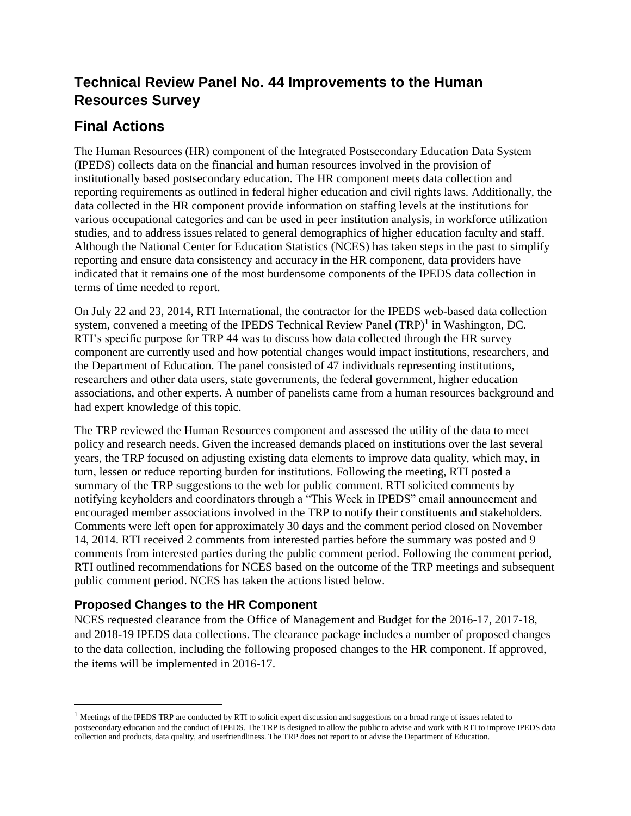# **Technical Review Panel No. 44 Improvements to the Human Resources Survey**

# **Final Actions**

The Human Resources (HR) component of the Integrated Postsecondary Education Data System (IPEDS) collects data on the financial and human resources involved in the provision of institutionally based postsecondary education. The HR component meets data collection and reporting requirements as outlined in federal higher education and civil rights laws. Additionally, the data collected in the HR component provide information on staffing levels at the institutions for various occupational categories and can be used in peer institution analysis, in workforce utilization studies, and to address issues related to general demographics of higher education faculty and staff. Although the National Center for Education Statistics (NCES) has taken steps in the past to simplify reporting and ensure data consistency and accuracy in the HR component, data providers have indicated that it remains one of the most burdensome components of the IPEDS data collection in terms of time needed to report.

On July 22 and 23, 2014, RTI International, the contractor for the IPEDS web-based data collection system, convened a meeting of the IPEDS Technical Review Panel (TRP)<sup>1</sup> in Washington, DC. RTI's specific purpose for TRP 44 was to discuss how data collected through the HR survey component are currently used and how potential changes would impact institutions, researchers, and the Department of Education. The panel consisted of 47 individuals representing institutions, researchers and other data users, state governments, the federal government, higher education associations, and other experts. A number of panelists came from a human resources background and had expert knowledge of this topic.

The TRP reviewed the Human Resources component and assessed the utility of the data to meet policy and research needs. Given the increased demands placed on institutions over the last several years, the TRP focused on adjusting existing data elements to improve data quality, which may, in turn, lessen or reduce reporting burden for institutions. Following the meeting, RTI posted a summary of the TRP suggestions to the web for public comment. RTI solicited comments by notifying keyholders and coordinators through a "This Week in IPEDS" email announcement and encouraged member associations involved in the TRP to notify their constituents and stakeholders. Comments were left open for approximately 30 days and the comment period closed on November 14, 2014. RTI received 2 comments from interested parties before the summary was posted and 9 comments from interested parties during the public comment period. Following the comment period, RTI outlined recommendations for NCES based on the outcome of the TRP meetings and subsequent public comment period. NCES has taken the actions listed below.

# **Proposed Changes to the HR Component**

 $\overline{\phantom{a}}$ 

NCES requested clearance from the Office of Management and Budget for the 2016-17, 2017-18, and 2018-19 IPEDS data collections. The clearance package includes a number of proposed changes to the data collection, including the following proposed changes to the HR component. If approved, the items will be implemented in 2016-17.

<sup>&</sup>lt;sup>1</sup> Meetings of the IPEDS TRP are conducted by RTI to solicit expert discussion and suggestions on a broad range of issues related to postsecondary education and the conduct of IPEDS. The TRP is designed to allow the public to advise and work with RTI to improve IPEDS data collection and products, data quality, and userfriendliness. The TRP does not report to or advise the Department of Education.